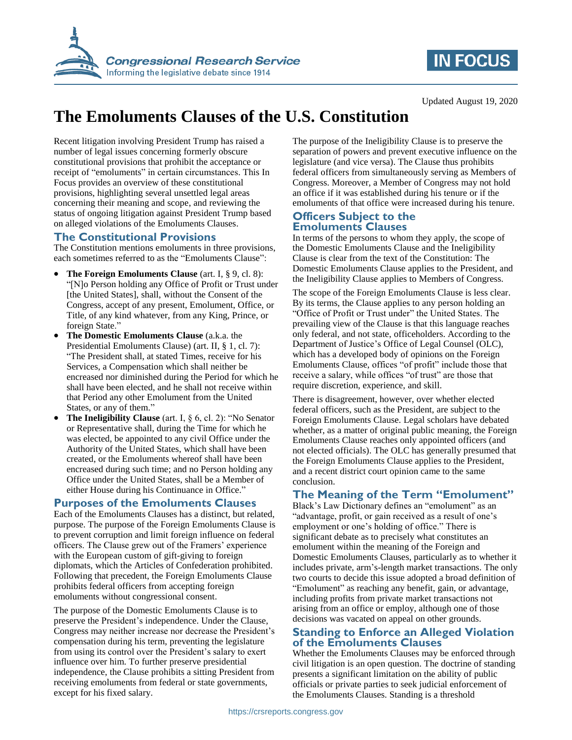

# **IN FOCUS**

#### Updated August 19, 2020

# **The Emoluments Clauses of the U.S. Constitution**

Recent litigation involving President Trump has raised a number of legal issues concerning formerly obscure constitutional provisions that prohibit the acceptance or receipt of "emoluments" in certain circumstances. This In Focus provides an overview of these constitutional provisions, highlighting several unsettled legal areas concerning their meaning and scope, and reviewing the status of ongoing litigation against President Trump based on alleged violations of the Emoluments Clauses.

## **The Constitutional Provisions**

The Constitution mentions emoluments in three provisions, each sometimes referred to as the "Emoluments Clause":

- **The Foreign Emoluments Clause** (art. I, § 9, cl. 8): "[N]o Person holding any Office of Profit or Trust under [the United States], shall, without the Consent of the Congress, accept of any present, Emolument, Office, or Title, of any kind whatever, from any King, Prince, or foreign State."
- **The Domestic Emoluments Clause** (a.k.a. the Presidential Emoluments Clause) (art. II, § 1, cl. 7): "The President shall, at stated Times, receive for his Services, a Compensation which shall neither be encreased nor diminished during the Period for which he shall have been elected, and he shall not receive within that Period any other Emolument from the United States, or any of them."
- **The Ineligibility Clause** (art. I, § 6, cl. 2): "No Senator or Representative shall, during the Time for which he was elected, be appointed to any civil Office under the Authority of the United States, which shall have been created, or the Emoluments whereof shall have been encreased during such time; and no Person holding any Office under the United States, shall be a Member of either House during his Continuance in Office."

## **Purposes of the Emoluments Clauses**

Each of the Emoluments Clauses has a distinct, but related, purpose. The purpose of the Foreign Emoluments Clause is to prevent corruption and limit foreign influence on federal officers. The Clause grew out of the Framers' experience with the European custom of gift-giving to foreign diplomats, which the Articles of Confederation prohibited. Following that precedent, the Foreign Emoluments Clause prohibits federal officers from accepting foreign emoluments without congressional consent.

The purpose of the Domestic Emoluments Clause is to preserve the President's independence. Under the Clause, Congress may neither increase nor decrease the President's compensation during his term, preventing the legislature from using its control over the President's salary to exert influence over him. To further preserve presidential independence, the Clause prohibits a sitting President from receiving emoluments from federal or state governments, except for his fixed salary.

The purpose of the Ineligibility Clause is to preserve the separation of powers and prevent executive influence on the legislature (and vice versa). The Clause thus prohibits federal officers from simultaneously serving as Members of Congress. Moreover, a Member of Congress may not hold an office if it was established during his tenure or if the emoluments of that office were increased during his tenure.

#### **Officers Subject to the Emoluments Clauses**

In terms of the persons to whom they apply, the scope of the Domestic Emoluments Clause and the Ineligibility Clause is clear from the text of the Constitution: The Domestic Emoluments Clause applies to the President, and the Ineligibility Clause applies to Members of Congress.

The scope of the Foreign Emoluments Clause is less clear. By its terms, the Clause applies to any person holding an "Office of Profit or Trust under" the United States. The prevailing view of the Clause is that this language reaches only federal, and not state, officeholders. According to the Department of Justice's Office of Legal Counsel (OLC), which has a developed body of opinions on the Foreign Emoluments Clause, offices "of profit" include those that receive a salary, while offices "of trust" are those that require discretion, experience, and skill.

There is disagreement, however, over whether elected federal officers, such as the President, are subject to the Foreign Emoluments Clause. Legal scholars have debated whether, as a matter of original public meaning, the Foreign Emoluments Clause reaches only appointed officers (and not elected officials). The OLC has generally presumed that the Foreign Emoluments Clause applies to the President, and a recent district court opinion came to the same conclusion.

## **The Meaning of the Term "Emolument"**

Black's Law Dictionary defines an "emolument" as an "advantage, profit, or gain received as a result of one's employment or one's holding of office." There is significant debate as to precisely what constitutes an emolument within the meaning of the Foreign and Domestic Emoluments Clauses, particularly as to whether it includes private, arm's-length market transactions. The only two courts to decide this issue adopted a broad definition of "Emolument" as reaching any benefit, gain, or advantage, including profits from private market transactions not arising from an office or employ, although one of those decisions was vacated on appeal on other grounds.

#### **Standing to Enforce an Alleged Violation of the Emoluments Clauses**

Whether the Emoluments Clauses may be enforced through civil litigation is an open question. The doctrine of standing presents a significant limitation on the ability of public officials or private parties to seek judicial enforcement of the Emoluments Clauses. Standing is a threshold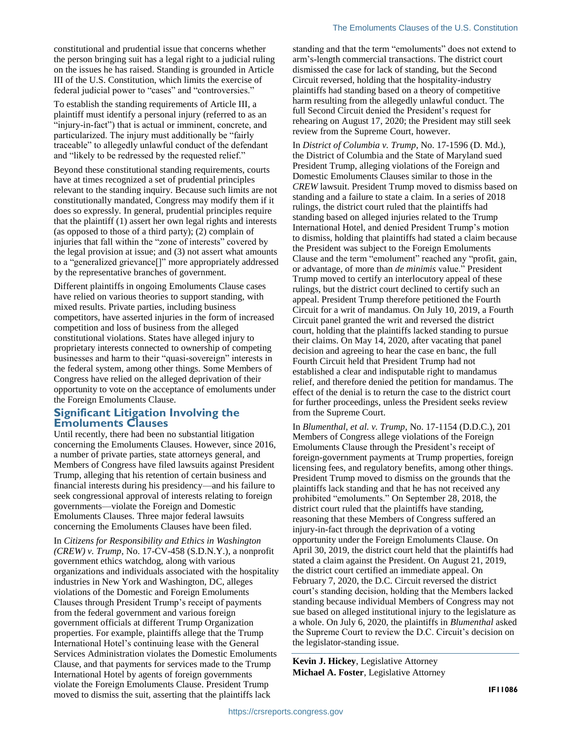constitutional and prudential issue that concerns whether the person bringing suit has a legal right to a judicial ruling on the issues he has raised. Standing is grounded in Article III of the U.S. Constitution, which limits the exercise of federal judicial power to "cases" and "controversies."

To establish the standing requirements of Article III, a plaintiff must identify a personal injury (referred to as an "injury-in-fact") that is actual or imminent, concrete, and particularized. The injury must additionally be "fairly traceable" to allegedly unlawful conduct of the defendant and "likely to be redressed by the requested relief."

Beyond these constitutional standing requirements, courts have at times recognized a set of prudential principles relevant to the standing inquiry. Because such limits are not constitutionally mandated, Congress may modify them if it does so expressly. In general, prudential principles require that the plaintiff (1) assert her own legal rights and interests (as opposed to those of a third party); (2) complain of injuries that fall within the "zone of interests" covered by the legal provision at issue; and (3) not assert what amounts to a "generalized grievance[]" more appropriately addressed by the representative branches of government.

Different plaintiffs in ongoing Emoluments Clause cases have relied on various theories to support standing, with mixed results. Private parties, including business competitors, have asserted injuries in the form of increased competition and loss of business from the alleged constitutional violations. States have alleged injury to proprietary interests connected to ownership of competing businesses and harm to their "quasi-sovereign" interests in the federal system, among other things. Some Members of Congress have relied on the alleged deprivation of their opportunity to vote on the acceptance of emoluments under the Foreign Emoluments Clause.

#### **Significant Litigation Involving the Emoluments Clauses**

Until recently, there had been no substantial litigation concerning the Emoluments Clauses. However, since 2016, a number of private parties, state attorneys general, and Members of Congress have filed lawsuits against President Trump, alleging that his retention of certain business and financial interests during his presidency—and his failure to seek congressional approval of interests relating to foreign governments—violate the Foreign and Domestic Emoluments Clauses. Three major federal lawsuits concerning the Emoluments Clauses have been filed.

In *Citizens for Responsibility and Ethics in Washington (CREW) v. Trump*, No. 17-CV-458 (S.D.N.Y.), a nonprofit government ethics watchdog, along with various organizations and individuals associated with the hospitality industries in New York and Washington, DC, alleges violations of the Domestic and Foreign Emoluments Clauses through President Trump's receipt of payments from the federal government and various foreign government officials at different Trump Organization properties. For example, plaintiffs allege that the Trump International Hotel's continuing lease with the General Services Administration violates the Domestic Emoluments Clause, and that payments for services made to the Trump International Hotel by agents of foreign governments violate the Foreign Emoluments Clause. President Trump moved to dismiss the suit, asserting that the plaintiffs lack

standing and that the term "emoluments" does not extend to arm's-length commercial transactions. The district court dismissed the case for lack of standing, but the Second Circuit reversed, holding that the hospitality-industry plaintiffs had standing based on a theory of competitive harm resulting from the allegedly unlawful conduct. The full Second Circuit denied the President's request for rehearing on August 17, 2020; the President may still seek review from the Supreme Court, however.

In *District of Columbia v. Trump*, No. 17-1596 (D. Md.), the District of Columbia and the State of Maryland sued President Trump, alleging violations of the Foreign and Domestic Emoluments Clauses similar to those in the *CREW* lawsuit. President Trump moved to dismiss based on standing and a failure to state a claim. In a series of 2018 rulings, the district court ruled that the plaintiffs had standing based on alleged injuries related to the Trump International Hotel, and denied President Trump's motion to dismiss, holding that plaintiffs had stated a claim because the President was subject to the Foreign Emoluments Clause and the term "emolument" reached any "profit, gain, or advantage, of more than *de minimis* value." President Trump moved to certify an interlocutory appeal of these rulings, but the district court declined to certify such an appeal. President Trump therefore petitioned the Fourth Circuit for a writ of mandamus. On July 10, 2019, a Fourth Circuit panel granted the writ and reversed the district court, holding that the plaintiffs lacked standing to pursue their claims. On May 14, 2020, after vacating that panel decision and agreeing to hear the case en banc, the full Fourth Circuit held that President Trump had not established a clear and indisputable right to mandamus relief, and therefore denied the petition for mandamus. The effect of the denial is to return the case to the district court for further proceedings, unless the President seeks review from the Supreme Court.

In *Blumenthal, et al. v. Trump*, No. 17-1154 (D.D.C.), 201 Members of Congress allege violations of the Foreign Emoluments Clause through the President's receipt of foreign-government payments at Trump properties, foreign licensing fees, and regulatory benefits, among other things. President Trump moved to dismiss on the grounds that the plaintiffs lack standing and that he has not received any prohibited "emoluments." On September 28, 2018, the district court ruled that the plaintiffs have standing, reasoning that these Members of Congress suffered an injury-in-fact through the deprivation of a voting opportunity under the Foreign Emoluments Clause. On April 30, 2019, the district court held that the plaintiffs had stated a claim against the President. On August 21, 2019, the district court certified an immediate appeal. On February 7, 2020, the D.C. Circuit reversed the district court's standing decision, holding that the Members lacked standing because individual Members of Congress may not sue based on alleged institutional injury to the legislature as a whole. On July 6, 2020, the plaintiffs in *Blumenthal* asked the Supreme Court to review the D.C. Circuit's decision on the legislator-standing issue.

**Kevin J. Hickey**, Legislative Attorney **Michael A. Foster**, Legislative Attorney